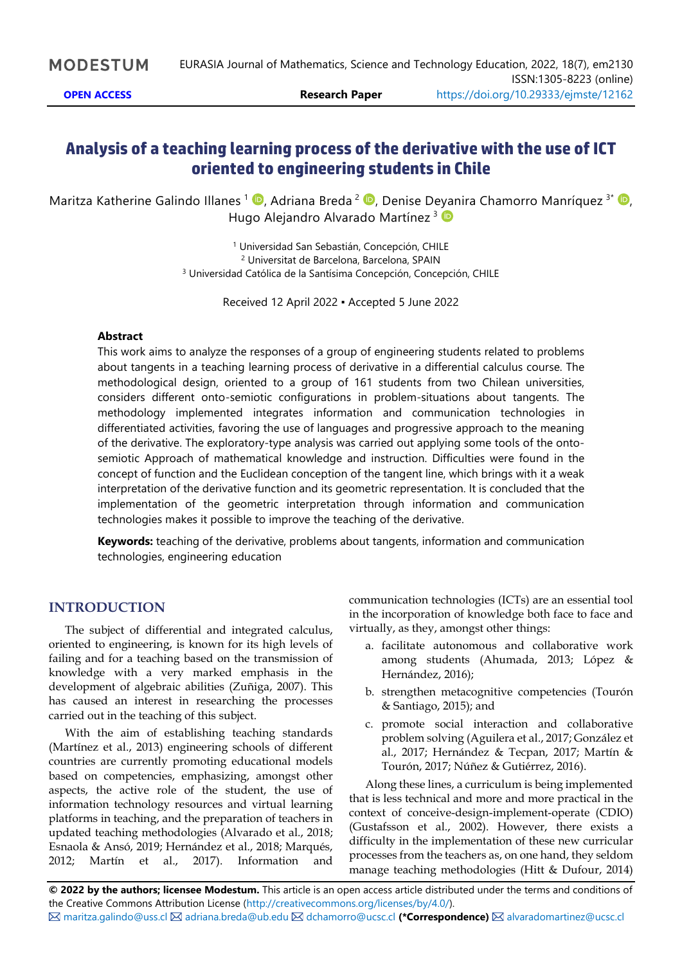# **Analysis of a teaching learning process of the derivative with the use of ICT oriented to engineering students in Chile**

Maritza Katherine Galindo Illanes <sup>1</sup> D[,](https://orcid.org/0000-0002-3749-226X) Adriana Breda <sup>2</sup> D, Denise Deyanira Chamorro Manríquez <sup>3\*</sup> D, Hugo Alejandro Alvarado Martínez<sup>3</sup>

> <sup>1</sup> Universidad San Sebastián, Concepción, CHILE <sup>2</sup> Universitat de Barcelona, Barcelona, SPAIN <sup>3</sup> Universidad Católica de la Santísima Concepción, Concepción, CHILE

> > Received 12 April 2022 ▪ Accepted 5 June 2022

#### **Abstract**

This work aims to analyze the responses of a group of engineering students related to problems about tangents in a teaching learning process of derivative in a differential calculus course. The methodological design, oriented to a group of 161 students from two Chilean universities, considers different onto-semiotic configurations in problem-situations about tangents. The methodology implemented integrates information and communication technologies in differentiated activities, favoring the use of languages and progressive approach to the meaning of the derivative. The exploratory-type analysis was carried out applying some tools of the ontosemiotic Approach of mathematical knowledge and instruction. Difficulties were found in the concept of function and the Euclidean conception of the tangent line, which brings with it a weak interpretation of the derivative function and its geometric representation. It is concluded that the implementation of the geometric interpretation through information and communication technologies makes it possible to improve the teaching of the derivative.

**Keywords:** teaching of the derivative, problems about tangents, information and communication technologies, engineering education

### **INTRODUCTION**

The subject of differential and integrated calculus, oriented to engineering, is known for its high levels of failing and for a teaching based on the transmission of knowledge with a very marked emphasis in the development of algebraic abilities (Zuñiga, 2007). This has caused an interest in researching the processes carried out in the teaching of this subject.

With the aim of establishing teaching standards (Martínez et al., 2013) engineering schools of different countries are currently promoting educational models based on competencies, emphasizing, amongst other aspects, the active role of the student, the use of information technology resources and virtual learning platforms in teaching, and the preparation of teachers in updated teaching methodologies (Alvarado et al., 2018; Esnaola & Ansó, 2019; Hernández et al., 2018; Marqués, 2012; Martín et al., 2017). Information and communication technologies (ICTs) are an essential tool in the incorporation of knowledge both face to face and virtually, as they, amongst other things:

- a. facilitate autonomous and collaborative work among students (Ahumada, 2013; López & Hernández, 2016);
- b. strengthen metacognitive competencies (Tourón & Santiago, 2015); and
- c. promote social interaction and collaborative problem solving (Aguilera et al., 2017; González et al., 2017; Hernández & Tecpan, 2017; Martín & Tourón, 2017; Núñez & Gutiérrez, 2016).

Along these lines, a curriculum is being implemented that is less technical and more and more practical in the context of conceive-design-implement-operate (CDIO) (Gustafsson et al., 2002). However, there exists a difficulty in the implementation of these new curricular processes from the teachers as, on one hand, they seldom manage teaching methodologies (Hitt & Dufour, 2014)

**© 2022 by the authors; licensee Modestum.** This article is an open access article distributed under the terms and conditions of the Creative Commons Attribution License [\(http://creativecommons.org/licenses/by/4.0/\)](http://creativecommons.org/licenses/by/4.0/).  $\boxtimes$  [maritza.galindo@uss.cl](mailto:maritza.galindo@uss.cl)  $\boxtimes$  [adriana.breda@ub.edu](mailto:adriana.breda@ub.edu)  $\boxtimes$  [dchamorro@ucsc.cl](mailto:dchamorro@ucsc.cl) (\*Correspondence)  $\boxtimes$  [alvaradomartinez@ucsc.cl](mailto:alvaradomartinez@ucsc.cl)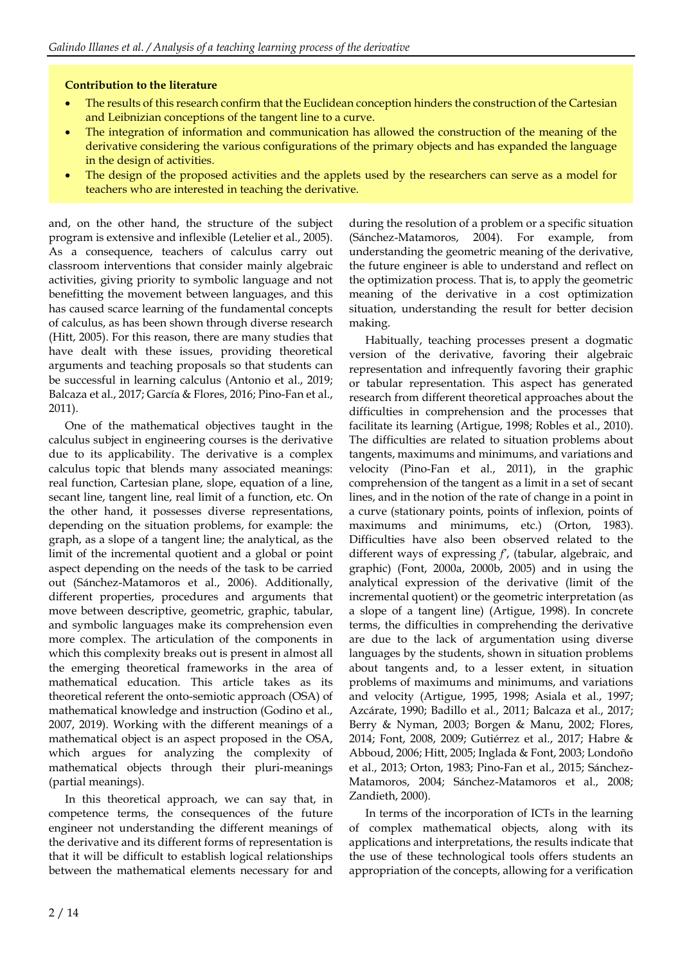#### **Contribution to the literature**

- The results of this research confirm that the Euclidean conception hinders the construction of the Cartesian and Leibnizian conceptions of the tangent line to a curve.
- The integration of information and communication has allowed the construction of the meaning of the derivative considering the various configurations of the primary objects and has expanded the language in the design of activities.
- The design of the proposed activities and the applets used by the researchers can serve as a model for teachers who are interested in teaching the derivative.

and, on the other hand, the structure of the subject program is extensive and inflexible (Letelier et al., 2005). As a consequence, teachers of calculus carry out classroom interventions that consider mainly algebraic activities, giving priority to symbolic language and not benefitting the movement between languages, and this has caused scarce learning of the fundamental concepts of calculus, as has been shown through diverse research (Hitt, 2005). For this reason, there are many studies that have dealt with these issues, providing theoretical arguments and teaching proposals so that students can be successful in learning calculus (Antonio et al., 2019; Balcaza et al., 2017; García & Flores, 2016; Pino-Fan et al., 2011).

One of the mathematical objectives taught in the calculus subject in engineering courses is the derivative due to its applicability. The derivative is a complex calculus topic that blends many associated meanings: real function, Cartesian plane, slope, equation of a line, secant line, tangent line, real limit of a function, etc. On the other hand, it possesses diverse representations, depending on the situation problems, for example: the graph, as a slope of a tangent line; the analytical, as the limit of the incremental quotient and a global or point aspect depending on the needs of the task to be carried out (Sánchez-Matamoros et al., 2006). Additionally, different properties, procedures and arguments that move between descriptive, geometric, graphic, tabular, and symbolic languages make its comprehension even more complex. The articulation of the components in which this complexity breaks out is present in almost all the emerging theoretical frameworks in the area of mathematical education. This article takes as its theoretical referent the onto-semiotic approach (OSA) of mathematical knowledge and instruction (Godino et al., 2007, 2019). Working with the different meanings of a mathematical object is an aspect proposed in the OSA, which argues for analyzing the complexity of mathematical objects through their pluri-meanings (partial meanings).

In this theoretical approach, we can say that, in competence terms, the consequences of the future engineer not understanding the different meanings of the derivative and its different forms of representation is that it will be difficult to establish logical relationships between the mathematical elements necessary for and

during the resolution of a problem or a specific situation (Sánchez-Matamoros, 2004). For example, from understanding the geometric meaning of the derivative, the future engineer is able to understand and reflect on the optimization process. That is, to apply the geometric meaning of the derivative in a cost optimization situation, understanding the result for better decision making.

Habitually, teaching processes present a dogmatic version of the derivative, favoring their algebraic representation and infrequently favoring their graphic or tabular representation. This aspect has generated research from different theoretical approaches about the difficulties in comprehension and the processes that facilitate its learning (Artigue, 1998; Robles et al., 2010). The difficulties are related to situation problems about tangents, maximums and minimums, and variations and velocity (Pino-Fan et al., 2011), in the graphic comprehension of the tangent as a limit in a set of secant lines, and in the notion of the rate of change in a point in a curve (stationary points, points of inflexion, points of maximums and minimums, etc.) (Orton, 1983). Difficulties have also been observed related to the different ways of expressing *f'*, (tabular, algebraic, and graphic) (Font, 2000a, 2000b, 2005) and in using the analytical expression of the derivative (limit of the incremental quotient) or the geometric interpretation (as a slope of a tangent line) (Artigue, 1998). In concrete terms, the difficulties in comprehending the derivative are due to the lack of argumentation using diverse languages by the students, shown in situation problems about tangents and, to a lesser extent, in situation problems of maximums and minimums, and variations and velocity (Artigue, 1995, 1998; Asiala et al., 1997; Azcárate, 1990; Badillo et al., 2011; Balcaza et al., 2017; Berry & Nyman, 2003; Borgen & Manu, 2002; Flores, 2014; Font, 2008, 2009; Gutiérrez et al., 2017; Habre & Abboud, 2006; Hitt, 2005; Inglada & Font, 2003; Londoño et al., 2013; Orton, 1983; Pino-Fan et al., 2015; Sánchez-Matamoros, 2004; Sánchez-Matamoros et al., 2008; Zandieth, 2000).

In terms of the incorporation of ICTs in the learning of complex mathematical objects, along with its applications and interpretations, the results indicate that the use of these technological tools offers students an appropriation of the concepts, allowing for a verification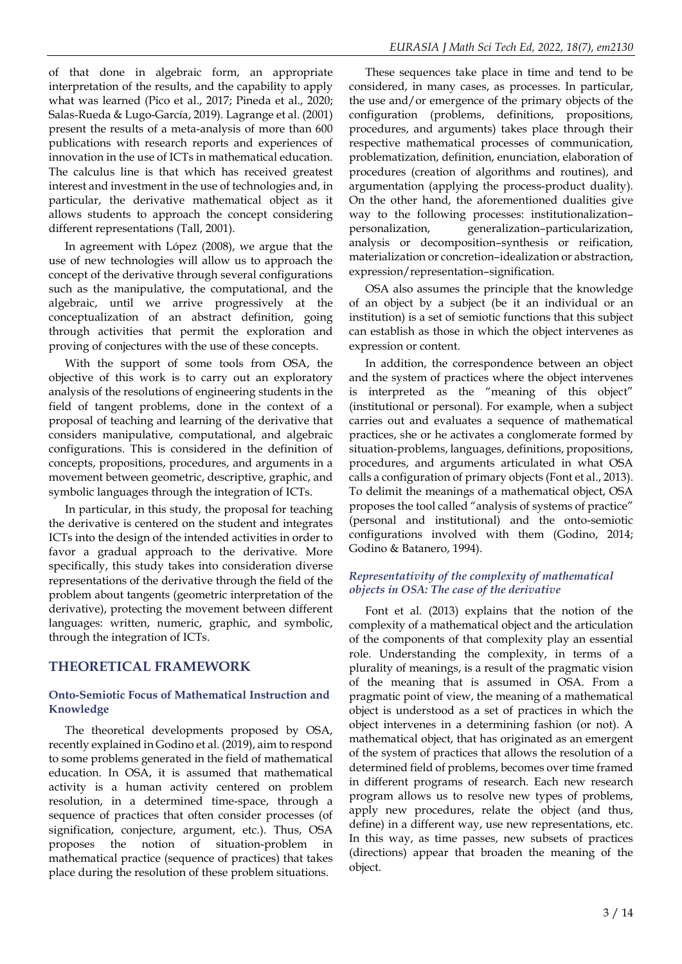of that done in algebraic form, an appropriate interpretation of the results, and the capability to apply what was learned (Pico et al., 2017; Pineda et al., 2020; Salas-Rueda & Lugo-García, 2019). Lagrange et al. (2001) present the results of a meta-analysis of more than 600 publications with research reports and experiences of innovation in the use of ICTs in mathematical education. The calculus line is that which has received greatest interest and investment in the use of technologies and, in particular, the derivative mathematical object as it allows students to approach the concept considering different representations (Tall, 2001).

In agreement with López (2008), we argue that the use of new technologies will allow us to approach the concept of the derivative through several configurations such as the manipulative, the computational, and the algebraic, until we arrive progressively at the conceptualization of an abstract definition, going through activities that permit the exploration and proving of conjectures with the use of these concepts.

With the support of some tools from OSA, the objective of this work is to carry out an exploratory analysis of the resolutions of engineering students in the field of tangent problems, done in the context of a proposal of teaching and learning of the derivative that considers manipulative, computational, and algebraic configurations. This is considered in the definition of concepts, propositions, procedures, and arguments in a movement between geometric, descriptive, graphic, and symbolic languages through the integration of ICTs.

In particular, in this study, the proposal for teaching the derivative is centered on the student and integrates ICTs into the design of the intended activities in order to favor a gradual approach to the derivative. More specifically, this study takes into consideration diverse representations of the derivative through the field of the problem about tangents (geometric interpretation of the derivative), protecting the movement between different languages: written, numeric, graphic, and symbolic, through the integration of ICTs.

# **THEORETICAL FRAMEWORK**

### **Onto-Semiotic Focus of Mathematical Instruction and Knowledge**

The theoretical developments proposed by OSA, recently explained in Godino et al. (2019), aim to respond to some problems generated in the field of mathematical education. In OSA, it is assumed that mathematical activity is a human activity centered on problem resolution, in a determined time-space, through a sequence of practices that often consider processes (of signification, conjecture, argument, etc.). Thus, OSA proposes the notion of situation-problem in mathematical practice (sequence of practices) that takes place during the resolution of these problem situations.

These sequences take place in time and tend to be considered, in many cases, as processes. In particular, the use and/or emergence of the primary objects of the configuration (problems, definitions, propositions, procedures, and arguments) takes place through their respective mathematical processes of communication, problematization, definition, enunciation, elaboration of procedures (creation of algorithms and routines), and argumentation (applying the process-product duality). On the other hand, the aforementioned dualities give way to the following processes: institutionalization– personalization, generalization–particularization, analysis or decomposition–synthesis or reification, materialization or concretion–idealization or abstraction, expression/representation–signification.

OSA also assumes the principle that the knowledge of an object by a subject (be it an individual or an institution) is a set of semiotic functions that this subject can establish as those in which the object intervenes as expression or content.

In addition, the correspondence between an object and the system of practices where the object intervenes is interpreted as the "meaning of this object" (institutional or personal). For example, when a subject carries out and evaluates a sequence of mathematical practices, she or he activates a conglomerate formed by situation-problems, languages, definitions, propositions, procedures, and arguments articulated in what OSA calls a configuration of primary objects (Font et al., 2013). To delimit the meanings of a mathematical object, OSA proposes the tool called "analysis of systems of practice" (personal and institutional) and the onto-semiotic configurations involved with them (Godino, 2014; Godino & Batanero, 1994).

### *Representativity of the complexity of mathematical objects in OSA: The case of the derivative*

Font et al. (2013) explains that the notion of the complexity of a mathematical object and the articulation of the components of that complexity play an essential role. Understanding the complexity, in terms of a plurality of meanings, is a result of the pragmatic vision of the meaning that is assumed in OSA. From a pragmatic point of view, the meaning of a mathematical object is understood as a set of practices in which the object intervenes in a determining fashion (or not). A mathematical object, that has originated as an emergent of the system of practices that allows the resolution of a determined field of problems, becomes over time framed in different programs of research. Each new research program allows us to resolve new types of problems, apply new procedures, relate the object (and thus, define) in a different way, use new representations, etc. In this way, as time passes, new subsets of practices (directions) appear that broaden the meaning of the object.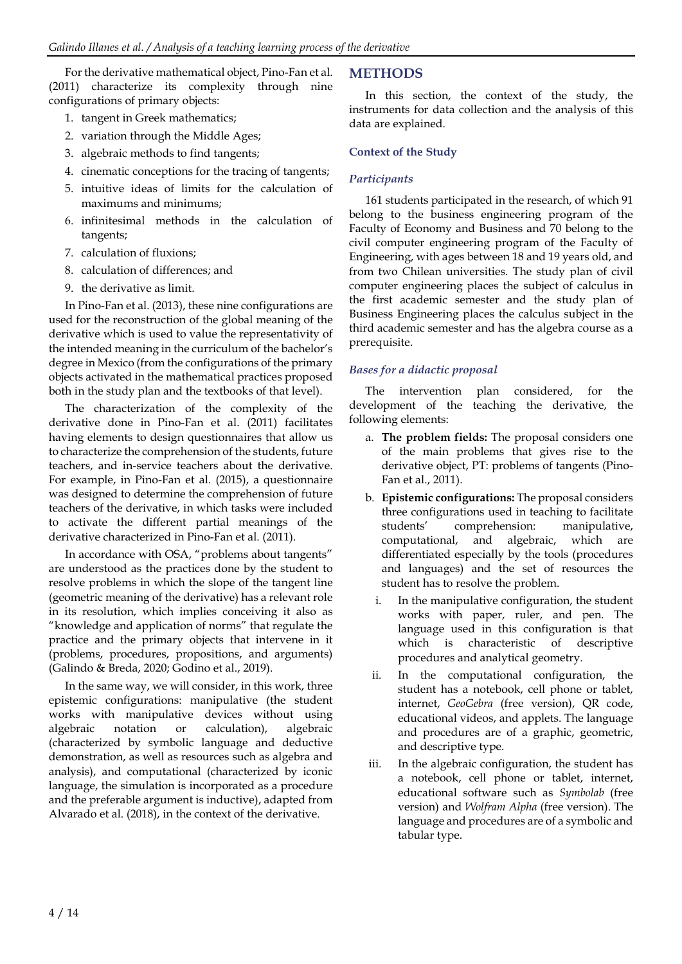For the derivative mathematical object, Pino-Fan et al. (2011) characterize its complexity through nine configurations of primary objects:

- 1. tangent in Greek mathematics;
- 2. variation through the Middle Ages;
- 3. algebraic methods to find tangents;
- 4. cinematic conceptions for the tracing of tangents;
- 5. intuitive ideas of limits for the calculation of maximums and minimums;
- 6. infinitesimal methods in the calculation of tangents;
- 7. calculation of fluxions;
- 8. calculation of differences; and
- 9. the derivative as limit.

In Pino-Fan et al. (2013), these nine configurations are used for the reconstruction of the global meaning of the derivative which is used to value the representativity of the intended meaning in the curriculum of the bachelor's degree in Mexico (from the configurations of the primary objects activated in the mathematical practices proposed both in the study plan and the textbooks of that level).

The characterization of the complexity of the derivative done in Pino-Fan et al. (2011) facilitates having elements to design questionnaires that allow us to characterize the comprehension of the students, future teachers, and in-service teachers about the derivative. For example, in Pino-Fan et al. (2015), a questionnaire was designed to determine the comprehension of future teachers of the derivative, in which tasks were included to activate the different partial meanings of the derivative characterized in Pino-Fan et al. (2011).

In accordance with OSA, "problems about tangents" are understood as the practices done by the student to resolve problems in which the slope of the tangent line (geometric meaning of the derivative) has a relevant role in its resolution, which implies conceiving it also as "knowledge and application of norms" that regulate the practice and the primary objects that intervene in it (problems, procedures, propositions, and arguments) (Galindo & Breda, 2020; Godino et al., 2019).

In the same way, we will consider, in this work, three epistemic configurations: manipulative (the student works with manipulative devices without using algebraic notation or calculation), algebraic (characterized by symbolic language and deductive demonstration, as well as resources such as algebra and analysis), and computational (characterized by iconic language, the simulation is incorporated as a procedure and the preferable argument is inductive), adapted from Alvarado et al. (2018), in the context of the derivative.

## **METHODS**

In this section, the context of the study, the instruments for data collection and the analysis of this data are explained.

### **Context of the Study**

### *Participants*

161 students participated in the research, of which 91 belong to the business engineering program of the Faculty of Economy and Business and 70 belong to the civil computer engineering program of the Faculty of Engineering, with ages between 18 and 19 years old, and from two Chilean universities. The study plan of civil computer engineering places the subject of calculus in the first academic semester and the study plan of Business Engineering places the calculus subject in the third academic semester and has the algebra course as a prerequisite.

### *Bases for a didactic proposal*

The intervention plan considered, for the development of the teaching the derivative, the following elements:

- a. **The problem fields:** The proposal considers one of the main problems that gives rise to the derivative object, PT: problems of tangents (Pino-Fan et al., 2011).
- b. **Epistemic configurations:** The proposal considers three configurations used in teaching to facilitate students' comprehension: manipulative, computational, and algebraic, which are differentiated especially by the tools (procedures and languages) and the set of resources the student has to resolve the problem.
	- i. In the manipulative configuration, the student works with paper, ruler, and pen. The language used in this configuration is that which is characteristic of descriptive procedures and analytical geometry.
- ii. In the computational configuration, the student has a notebook, cell phone or tablet, internet, *GeoGebra* (free version), QR code, educational videos, and applets. The language and procedures are of a graphic, geometric, and descriptive type.
- iii. In the algebraic configuration, the student has a notebook, cell phone or tablet, internet, educational software such as *Symbolab* (free version) and *Wolfram Alpha* (free version). The language and procedures are of a symbolic and tabular type.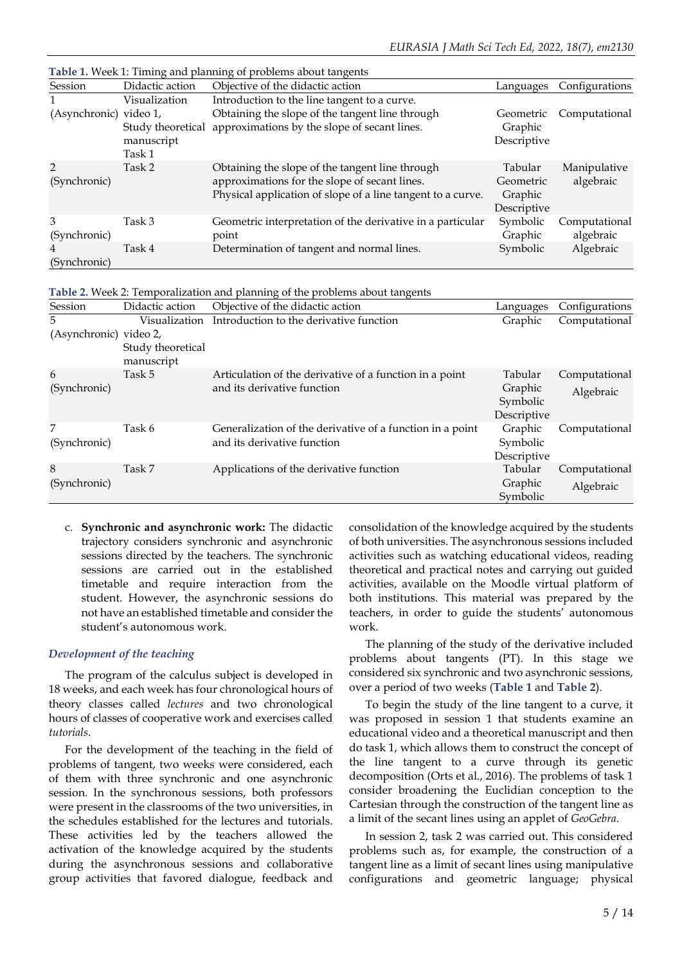| <b>Table 1.</b> Week 1: Timing and planning of problems about tangents |                                           |                                                                                                                                                                 |                                                |                            |  |  |
|------------------------------------------------------------------------|-------------------------------------------|-----------------------------------------------------------------------------------------------------------------------------------------------------------------|------------------------------------------------|----------------------------|--|--|
| Session                                                                | Didactic action                           | Objective of the didactic action                                                                                                                                | Languages                                      | Configurations             |  |  |
|                                                                        | Visualization                             | Introduction to the line tangent to a curve.                                                                                                                    |                                                |                            |  |  |
| (Asynchronic) video 1,                                                 | Study theoretical<br>manuscript<br>Task 1 | Obtaining the slope of the tangent line through<br>approximations by the slope of secant lines.                                                                 | Geometric<br>Graphic<br>Descriptive            | Computational              |  |  |
| $\mathcal{P}$<br>(Synchronic)                                          | Task 2                                    | Obtaining the slope of the tangent line through<br>approximations for the slope of secant lines.<br>Physical application of slope of a line tangent to a curve. | Tabular<br>Geometric<br>Graphic<br>Descriptive | Manipulative<br>algebraic  |  |  |
| 3<br>(Synchronic)                                                      | Task 3                                    | Geometric interpretation of the derivative in a particular<br>point                                                                                             | Symbolic<br>Graphic                            | Computational<br>algebraic |  |  |
| 4<br>(Synchronic)                                                      | Task 4                                    | Determination of tangent and normal lines.                                                                                                                      | Symbolic                                       | Algebraic                  |  |  |

| Table 2. Week 2: Temporalization and planning of the problems about tangents |  |  |
|------------------------------------------------------------------------------|--|--|
|                                                                              |  |  |

| Session                | Didactic action                 | Objective of the didactic action                          | Languages               | Configurations |  |
|------------------------|---------------------------------|-----------------------------------------------------------|-------------------------|----------------|--|
| 5                      | Visualization                   | Introduction to the derivative function                   | Graphic                 | Computational  |  |
| (Asynchronic) video 2, |                                 |                                                           |                         |                |  |
|                        | Study theoretical<br>manuscript |                                                           |                         |                |  |
| 6                      | Task 5                          | Articulation of the derivative of a function in a point   | Tabular                 | Computational  |  |
| (Synchronic)           |                                 | and its derivative function                               | Graphic                 | Algebraic      |  |
|                        |                                 |                                                           | Symbolic<br>Descriptive |                |  |
| 7                      | Task 6                          | Generalization of the derivative of a function in a point | Graphic                 | Computational  |  |
| (Synchronic)           |                                 | and its derivative function                               | Symbolic                |                |  |
|                        |                                 |                                                           | Descriptive             |                |  |
| 8                      | Task 7                          | Applications of the derivative function                   | Tabular                 | Computational  |  |
| (Synchronic)           |                                 |                                                           | Graphic                 | Algebraic      |  |
|                        |                                 |                                                           | Symbolic                |                |  |

c. **Synchronic and asynchronic work:** The didactic trajectory considers synchronic and asynchronic sessions directed by the teachers. The synchronic sessions are carried out in the established timetable and require interaction from the student. However, the asynchronic sessions do not have an established timetable and consider the student's autonomous work.

#### *Development of the teaching*

The program of the calculus subject is developed in 18 weeks, and each week has four chronological hours of theory classes called *lectures* and two chronological hours of classes of cooperative work and exercises called *tutorials*.

For the development of the teaching in the field of problems of tangent, two weeks were considered, each of them with three synchronic and one asynchronic session. In the synchronous sessions, both professors were present in the classrooms of the two universities, in the schedules established for the lectures and tutorials. These activities led by the teachers allowed the activation of the knowledge acquired by the students during the asynchronous sessions and collaborative group activities that favored dialogue, feedback and consolidation of the knowledge acquired by the students of both universities. The asynchronous sessions included activities such as watching educational videos, reading theoretical and practical notes and carrying out guided activities, available on the Moodle virtual platform of both institutions. This material was prepared by the teachers, in order to guide the students' autonomous work.

The planning of the study of the derivative included problems about tangents (PT). In this stage we considered six synchronic and two asynchronic sessions, over a period of two weeks (**Table 1** and **Table 2**).

To begin the study of the line tangent to a curve, it was proposed in session 1 that students examine an educational video and a theoretical manuscript and then do task 1, which allows them to construct the concept of the line tangent to a curve through its genetic decomposition (Orts et al., 2016). The problems of task 1 consider broadening the Euclidian conception to the Cartesian through the construction of the tangent line as a limit of the secant lines using an applet of *GeoGebra*.

In session 2, task 2 was carried out. This considered problems such as, for example, the construction of a tangent line as a limit of secant lines using manipulative configurations and geometric language; physical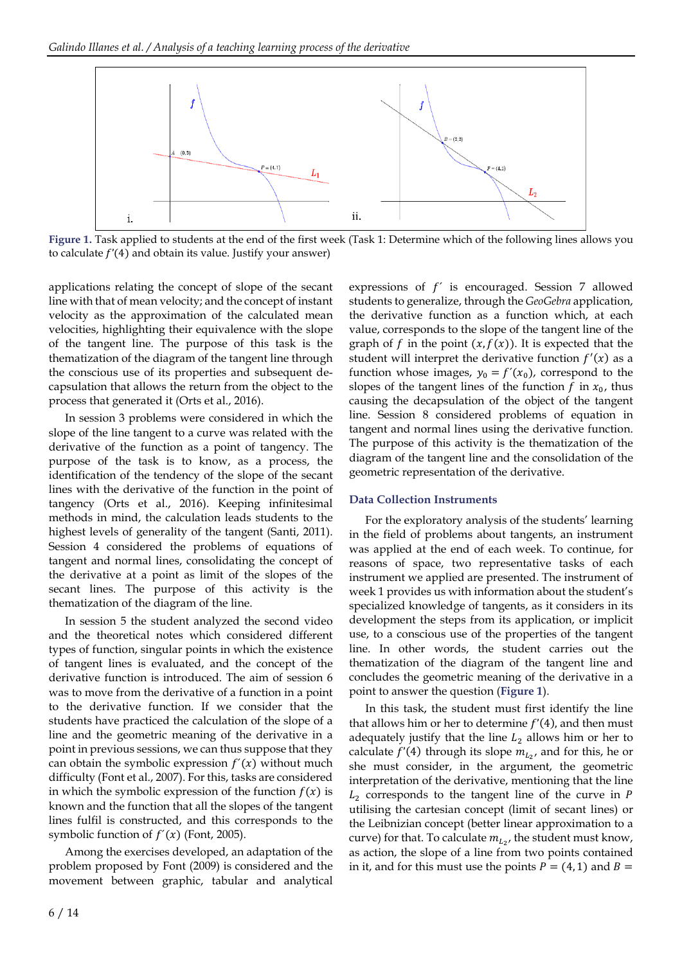

**Figure 1.** Task applied to students at the end of the first week (Task 1: Determine which of the following lines allows you to calculate  $f'(4)$  and obtain its value. Justify your answer)

applications relating the concept of slope of the secant line with that of mean velocity; and the concept of instant velocity as the approximation of the calculated mean velocities, highlighting their equivalence with the slope of the tangent line. The purpose of this task is the thematization of the diagram of the tangent line through the conscious use of its properties and subsequent decapsulation that allows the return from the object to the process that generated it (Orts et al., 2016).

In session 3 problems were considered in which the slope of the line tangent to a curve was related with the derivative of the function as a point of tangency. The purpose of the task is to know, as a process, the identification of the tendency of the slope of the secant lines with the derivative of the function in the point of tangency (Orts et al., 2016). Keeping infinitesimal methods in mind, the calculation leads students to the highest levels of generality of the tangent (Santi, 2011). Session 4 considered the problems of equations of tangent and normal lines, consolidating the concept of the derivative at a point as limit of the slopes of the secant lines. The purpose of this activity is the thematization of the diagram of the line.

In session 5 the student analyzed the second video and the theoretical notes which considered different types of function, singular points in which the existence of tangent lines is evaluated, and the concept of the derivative function is introduced. The aim of session 6 was to move from the derivative of a function in a point to the derivative function. If we consider that the students have practiced the calculation of the slope of a line and the geometric meaning of the derivative in a point in previous sessions, we can thus suppose that they can obtain the symbolic expression  $f'(x)$  without much difficulty (Font et al., 2007). For this, tasks are considered in which the symbolic expression of the function  $f(x)$  is known and the function that all the slopes of the tangent lines fulfil is constructed, and this corresponds to the symbolic function of  $f'(x)$  (Font, 2005).

Among the exercises developed, an adaptation of the problem proposed by Font (2009) is considered and the movement between graphic, tabular and analytical

expressions of  $f'$  is encouraged. Session 7 allowed students to generalize, through the *GeoGebra* application, the derivative function as a function which, at each value, corresponds to the slope of the tangent line of the graph of f in the point  $(x, f(x))$ . It is expected that the student will interpret the derivative function  $f'(x)$  as a function whose images,  $y_0 = f'(x_0)$ , correspond to the slopes of the tangent lines of the function  $f$  in  $x_0$ , thus causing the decapsulation of the object of the tangent line. Session 8 considered problems of equation in tangent and normal lines using the derivative function. The purpose of this activity is the thematization of the diagram of the tangent line and the consolidation of the geometric representation of the derivative.

#### **Data Collection Instruments**

For the exploratory analysis of the students' learning in the field of problems about tangents, an instrument was applied at the end of each week. To continue, for reasons of space, two representative tasks of each instrument we applied are presented. The instrument of week 1 provides us with information about the student's specialized knowledge of tangents, as it considers in its development the steps from its application, or implicit use, to a conscious use of the properties of the tangent line. In other words, the student carries out the thematization of the diagram of the tangent line and concludes the geometric meaning of the derivative in a point to answer the question (**Figure 1**).

In this task, the student must first identify the line that allows him or her to determine  $f'(4)$ , and then must adequately justify that the line  $L_2$  allows him or her to calculate  $f'(4)$  through its slope  $m_{L_2}$ , and for this, he or she must consider, in the argument, the geometric interpretation of the derivative, mentioning that the line  $L<sub>2</sub>$  corresponds to the tangent line of the curve in P utilising the cartesian concept (limit of secant lines) or the Leibnizian concept (better linear approximation to a curve) for that. To calculate  $m_{L_2}$ , the student must know, as action, the slope of a line from two points contained in it, and for this must use the points  $P = (4, 1)$  and  $B =$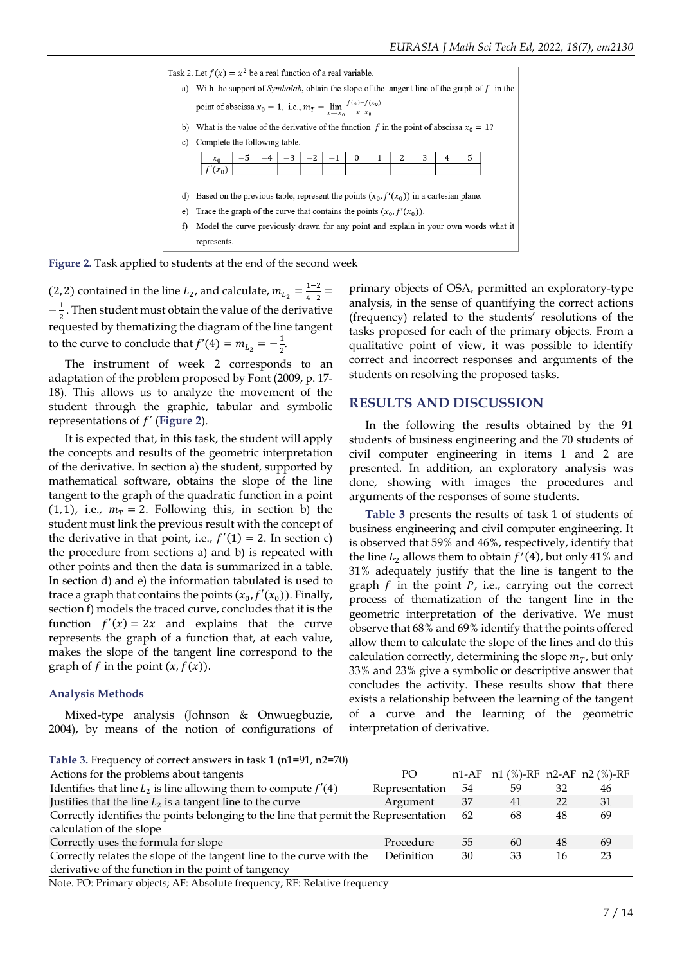

**Figure 2.** Task applied to students at the end of the second week

(2, 2) contained in the line  $L_2$ , and calculate,  $m_{L_2} = \frac{1-2}{4-2}$  $\frac{1-z}{4-2}$  =  $-\frac{1}{2}$  $\frac{1}{2}$ . Then student must obtain the value of the derivative requested by thematizing the diagram of the line tangent to the curve to conclude that  $f'(4) = m_{L_2} = -\frac{1}{2}$  $\frac{1}{2}$ .

The instrument of week 2 corresponds to an adaptation of the problem proposed by Font (2009, p. 17- 18). This allows us to analyze the movement of the student through the graphic, tabular and symbolic representations of  $f'$  (Figure 2).

It is expected that, in this task, the student will apply the concepts and results of the geometric interpretation of the derivative. In section a) the student, supported by mathematical software, obtains the slope of the line tangent to the graph of the quadratic function in a point  $(1, 1)$ , i.e.,  $m<sub>T</sub> = 2$ . Following this, in section b) the student must link the previous result with the concept of the derivative in that point, i.e.,  $f'(1) = 2$ . In section c) the procedure from sections a) and b) is repeated with other points and then the data is summarized in a table. In section d) and e) the information tabulated is used to trace a graph that contains the points  $(x_0, f'(x_0))$ . Finally, section f) models the traced curve, concludes that it is the function  $f'(x) = 2x$  and explains that the curve represents the graph of a function that, at each value, makes the slope of the tangent line correspond to the graph of  $f$  in the point  $(x, f(x))$ .

#### **Analysis Methods**

Mixed-type analysis (Johnson & Onwuegbuzie, 2004), by means of the notion of configurations of

primary objects of OSA, permitted an exploratory-type analysis, in the sense of quantifying the correct actions (frequency) related to the students' resolutions of the tasks proposed for each of the primary objects. From a qualitative point of view, it was possible to identify correct and incorrect responses and arguments of the students on resolving the proposed tasks.

#### **RESULTS AND DISCUSSION**

In the following the results obtained by the 91 students of business engineering and the 70 students of civil computer engineering in items 1 and 2 are presented. In addition, an exploratory analysis was done, showing with images the procedures and arguments of the responses of some students.

**Table 3** presents the results of task 1 of students of business engineering and civil computer engineering. It is observed that 59% and 46%, respectively, identify that the line  $L_2$  allows them to obtain  $f'(4)$ , but only 41% and 31% adequately justify that the line is tangent to the graph  $f$  in the point  $P$ , i.e., carrying out the correct process of thematization of the tangent line in the geometric interpretation of the derivative. We must observe that 68% and 69% identify that the points offered allow them to calculate the slope of the lines and do this calculation correctly, determining the slope  $m_T$ , but only 33% and 23% give a symbolic or descriptive answer that concludes the activity. These results show that there exists a relationship between the learning of the tangent of a curve and the learning of the geometric interpretation of derivative.

**Table 3.** Frequency of correct answers in task 1 (n1=91, n2=70)

| Actions for the problems about tangents                                                                                                                                                                                                                                                                                                     | PO             |    | $n1-AF$ $n1$ (%)-RF $n2-AF$ $n2$ (%)-RF |    |    |
|---------------------------------------------------------------------------------------------------------------------------------------------------------------------------------------------------------------------------------------------------------------------------------------------------------------------------------------------|----------------|----|-----------------------------------------|----|----|
| Identifies that line $L_2$ is line allowing them to compute $f'(4)$                                                                                                                                                                                                                                                                         | Representation | 54 | 59                                      | 32 | 46 |
| Justifies that the line $L_2$ is a tangent line to the curve                                                                                                                                                                                                                                                                                | Argument       | 37 | 41                                      | 22 | 31 |
| Correctly identifies the points belonging to the line that permit the Representation                                                                                                                                                                                                                                                        |                | 62 | 68                                      | 48 | 69 |
| calculation of the slope                                                                                                                                                                                                                                                                                                                    |                |    |                                         |    |    |
| Correctly uses the formula for slope                                                                                                                                                                                                                                                                                                        | Procedure      | 55 | 60                                      | 48 | 69 |
| Correctly relates the slope of the tangent line to the curve with the                                                                                                                                                                                                                                                                       | Definition     | 30 | 33                                      | 16 | 23 |
| derivative of the function in the point of tangency                                                                                                                                                                                                                                                                                         |                |    |                                         |    |    |
| $\mathbf{v}$ $\mathbf{v}$ $\mathbf{v}$ $\mathbf{v}$ $\mathbf{v}$ $\mathbf{v}$ $\mathbf{v}$ $\mathbf{v}$ $\mathbf{v}$ $\mathbf{v}$ $\mathbf{v}$ $\mathbf{v}$ $\mathbf{v}$ $\mathbf{v}$ $\mathbf{v}$ $\mathbf{v}$ $\mathbf{v}$ $\mathbf{v}$ $\mathbf{v}$ $\mathbf{v}$ $\mathbf{v}$ $\mathbf{v}$ $\mathbf{v}$ $\mathbf{v}$ $\mathbf{$<br>DDD 1 |                |    |                                         |    |    |

Note. PO: Primary objects; AF: Absolute frequency; RF: Relative frequency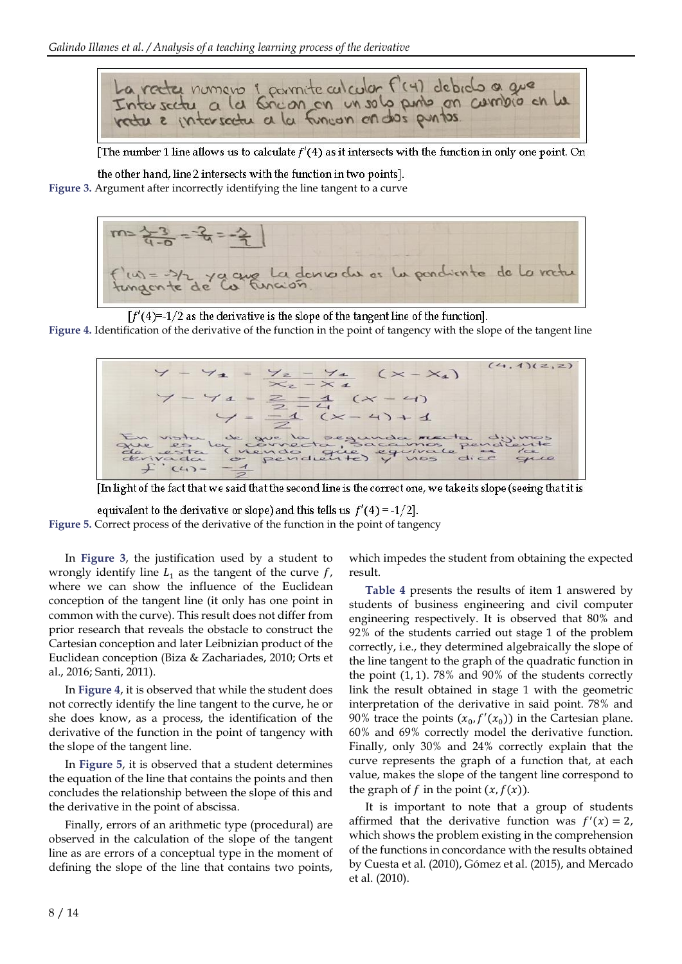

[The number 1 line allows us to calculate  $f'(4)$  as it intersects with the function in only one point. On

the other hand, line 2 intersects with the function in two points]. **Figure 3.** Argument after incorrectly identifying the line tangent to a curve



 $[f'(4)=1/2$  as the derivative is the slope of the tangent line of the function].

**Figure 4.** Identification of the derivative of the function in the point of tangency with the slope of the tangent line



[In light of the fact that we said that the second line is the correct one, we take its slope (seeing that it is

equivalent to the derivative or slope) and this tells us  $f'(4) = -1/2$ . **Figure 5.** Correct process of the derivative of the function in the point of tangency

In **Figure 3**, the justification used by a student to wrongly identify line  $L_1$  as the tangent of the curve  $f$ , where we can show the influence of the Euclidean conception of the tangent line (it only has one point in common with the curve). This result does not differ from prior research that reveals the obstacle to construct the Cartesian conception and later Leibnizian product of the Euclidean conception (Biza & Zachariades, 2010; Orts et al., 2016; Santi, 2011).

In **Figure 4**, it is observed that while the student does not correctly identify the line tangent to the curve, he or she does know, as a process, the identification of the derivative of the function in the point of tangency with the slope of the tangent line.

In **Figure 5**, it is observed that a student determines the equation of the line that contains the points and then concludes the relationship between the slope of this and the derivative in the point of abscissa.

Finally, errors of an arithmetic type (procedural) are observed in the calculation of the slope of the tangent line as are errors of a conceptual type in the moment of defining the slope of the line that contains two points, which impedes the student from obtaining the expected result.

**Table 4** presents the results of item 1 answered by students of business engineering and civil computer engineering respectively. It is observed that 80% and 92% of the students carried out stage 1 of the problem correctly, i.e., they determined algebraically the slope of the line tangent to the graph of the quadratic function in the point (1, 1). 78% and 90% of the students correctly link the result obtained in stage 1 with the geometric interpretation of the derivative in said point. 78% and 90% trace the points  $(x_0, f'(x_0))$  in the Cartesian plane. 60% and 69% correctly model the derivative function. Finally, only 30% and 24% correctly explain that the curve represents the graph of a function that, at each value, makes the slope of the tangent line correspond to the graph of  $f$  in the point  $(x, f(x))$ .

It is important to note that a group of students affirmed that the derivative function was  $f'(x) = 2$ , which shows the problem existing in the comprehension of the functions in concordance with the results obtained by Cuesta et al. (2010), Gómez et al. (2015), and Mercado et al. (2010).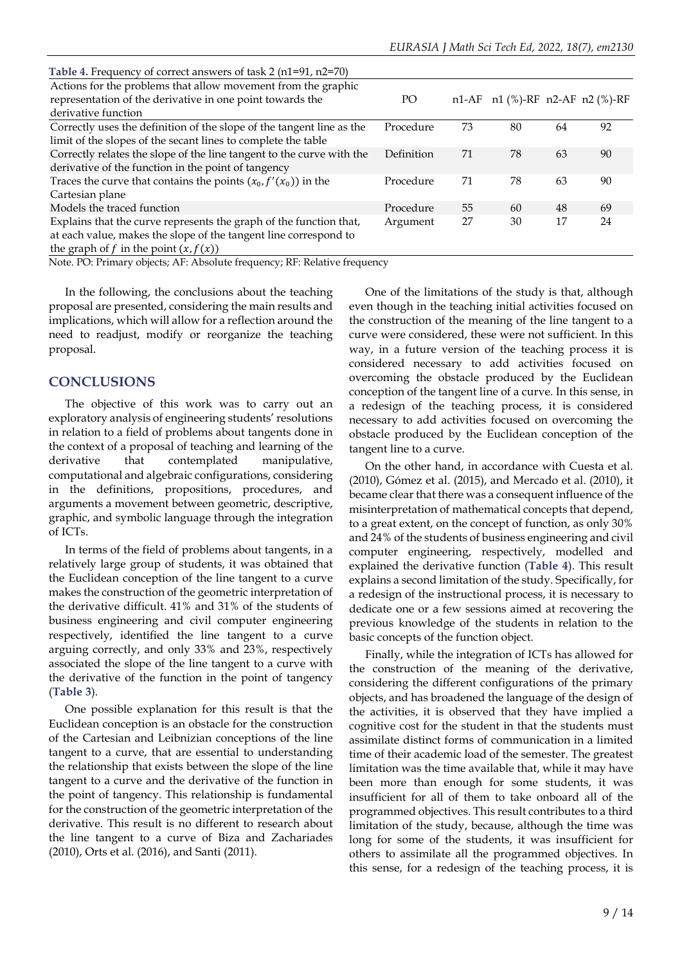| Table 4. Frequency of correct answers of task $2$ (n1=91, n2=70)      |            |    |                                 |    |    |
|-----------------------------------------------------------------------|------------|----|---------------------------------|----|----|
| Actions for the problems that allow movement from the graphic         |            |    |                                 |    |    |
| representation of the derivative in one point towards the             | PO         |    | n1-AF n1 (%)-RF n2-AF n2 (%)-RF |    |    |
| derivative function                                                   |            |    |                                 |    |    |
| Correctly uses the definition of the slope of the tangent line as the | Procedure  | 73 | 80                              | 64 | 92 |
| limit of the slopes of the secant lines to complete the table         |            |    |                                 |    |    |
| Correctly relates the slope of the line tangent to the curve with the | Definition | 71 | 78                              | 63 | 90 |
| derivative of the function in the point of tangency                   |            |    |                                 |    |    |
| Traces the curve that contains the points $(x_0, f'(x_0))$ in the     | Procedure  | 71 | 78                              | 63 | 90 |
| Cartesian plane                                                       |            |    |                                 |    |    |
| Models the traced function                                            | Procedure  | 55 | 60                              | 48 | 69 |
| Explains that the curve represents the graph of the function that,    | Argument   | 27 | 30                              | 17 | 24 |
| at each value, makes the slope of the tangent line correspond to      |            |    |                                 |    |    |
| the graph of f in the point $(x, f(x))$                               |            |    |                                 |    |    |

Note. PO: Primary objects; AF: Absolute frequency; RF: Relative frequency

In the following, the conclusions about the teaching proposal are presented, considering the main results and implications, which will allow for a reflection around the need to readjust, modify or reorganize the teaching proposal.

### **CONCLUSIONS**

The objective of this work was to carry out an exploratory analysis of engineering students'resolutions in relation to a field of problems about tangents done in the context of a proposal of teaching and learning of the derivative that contemplated manipulative, computational and algebraic configurations, considering in the definitions, propositions, procedures, and arguments a movement between geometric, descriptive, graphic, and symbolic language through the integration of ICTs.

In terms of the field of problems about tangents, in a relatively large group of students, it was obtained that the Euclidean conception of the line tangent to a curve makes the construction of the geometric interpretation of the derivative difficult. 41% and 31% of the students of business engineering and civil computer engineering respectively, identified the line tangent to a curve arguing correctly, and only 33% and 23%, respectively associated the slope of the line tangent to a curve with the derivative of the function in the point of tangency (**Table 3**).

One possible explanation for this result is that the Euclidean conception is an obstacle for the construction of the Cartesian and Leibnizian conceptions of the line tangent to a curve, that are essential to understanding the relationship that exists between the slope of the line tangent to a curve and the derivative of the function in the point of tangency. This relationship is fundamental for the construction of the geometric interpretation of the derivative. This result is no different to research about the line tangent to a curve of Biza and Zachariades (2010), Orts et al. (2016), and Santi (2011).

One of the limitations of the study is that, although even though in the teaching initial activities focused on the construction of the meaning of the line tangent to a curve were considered, these were not sufficient. In this way, in a future version of the teaching process it is considered necessary to add activities focused on overcoming the obstacle produced by the Euclidean conception of the tangent line of a curve. In this sense, in a redesign of the teaching process, it is considered necessary to add activities focused on overcoming the obstacle produced by the Euclidean conception of the tangent line to a curve.

On the other hand, in accordance with Cuesta et al. (2010), Gómez et al. (2015), and Mercado et al. (2010), it became clear that there was a consequent influence of the misinterpretation of mathematical concepts that depend, to a great extent, on the concept of function, as only 30% and 24% of the students of business engineering and civil computer engineering, respectively, modelled and explained the derivative function (**Table 4**). This result explains a second limitation of the study. Specifically, for a redesign of the instructional process, it is necessary to dedicate one or a few sessions aimed at recovering the previous knowledge of the students in relation to the basic concepts of the function object.

Finally, while the integration of ICTs has allowed for the construction of the meaning of the derivative, considering the different configurations of the primary objects, and has broadened the language of the design of the activities, it is observed that they have implied a cognitive cost for the student in that the students must assimilate distinct forms of communication in a limited time of their academic load of the semester. The greatest limitation was the time available that, while it may have been more than enough for some students, it was insufficient for all of them to take onboard all of the programmed objectives. This result contributes to a third limitation of the study, because, although the time was long for some of the students, it was insufficient for others to assimilate all the programmed objectives. In this sense, for a redesign of the teaching process, it is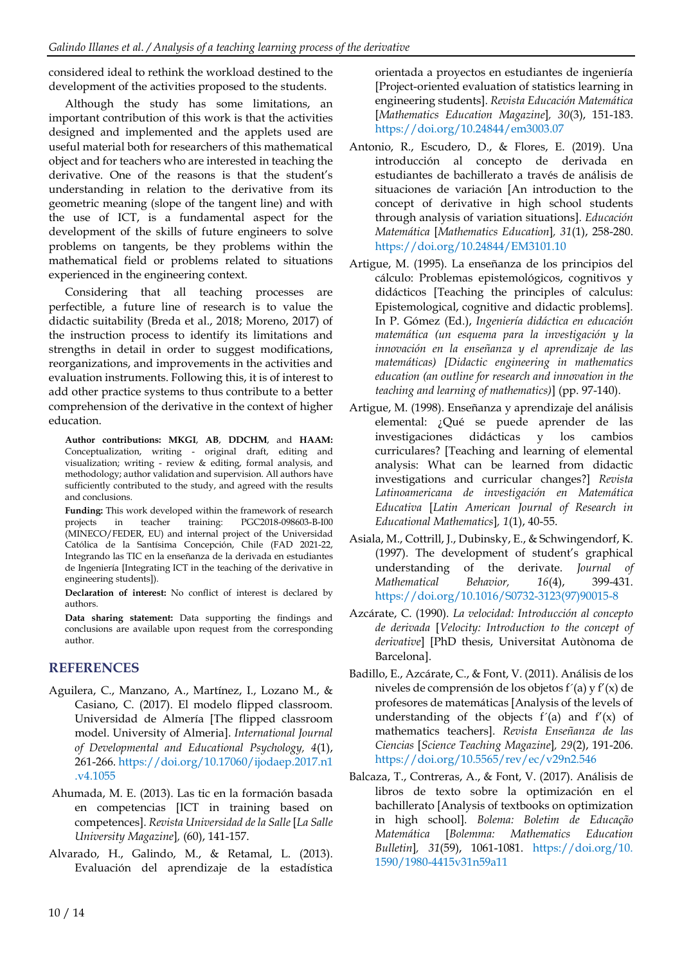considered ideal to rethink the workload destined to the development of the activities proposed to the students.

Although the study has some limitations, an important contribution of this work is that the activities designed and implemented and the applets used are useful material both for researchers of this mathematical object and for teachers who are interested in teaching the derivative. One of the reasons is that the student's understanding in relation to the derivative from its geometric meaning (slope of the tangent line) and with the use of ICT, is a fundamental aspect for the development of the skills of future engineers to solve problems on tangents, be they problems within the mathematical field or problems related to situations experienced in the engineering context.

Considering that all teaching processes are perfectible, a future line of research is to value the didactic suitability (Breda et al., 2018; Moreno, 2017) of the instruction process to identify its limitations and strengths in detail in order to suggest modifications, reorganizations, and improvements in the activities and evaluation instruments. Following this, it is of interest to add other practice systems to thus contribute to a better comprehension of the derivative in the context of higher education.

**Author contributions: MKGI**, **AB**, **DDCHM**, and **HAAM:** Conceptualization, writing - original draft, editing and visualization; writing - review & editing, formal analysis, and methodology; author validation and supervision. All authors have sufficiently contributed to the study, and agreed with the results and conclusions.

**Funding:** This work developed within the framework of research projects in teacher training: PGC2018-098603-B-I00 (MINECO/FEDER, EU) and internal project of the Universidad Católica de la Santísima Concepción, Chile (FAD 2021-22, Integrando las TIC en la enseñanza de la derivada en estudiantes de Ingeniería [Integrating ICT in the teaching of the derivative in engineering students]).

**Declaration of interest:** No conflict of interest is declared by authors.

**Data sharing statement:** Data supporting the findings and conclusions are available upon request from the corresponding author.

# **REFERENCES**

- Aguilera, C., Manzano, A., Martínez, I., Lozano M., & Casiano, C. (2017). El modelo flipped classroom. Universidad de Almería [The flipped classroom model. University of Almeria]. *International Journal of Developmental and Educational Psychology, 4*(1), 261-266. [https://doi.org/10.17060/ijodaep.2017.n1](https://doi.org/10.17060/ijodaep.2017.n1.v4.1055) [.v4.1055](https://doi.org/10.17060/ijodaep.2017.n1.v4.1055)
- Ahumada, M. E. (2013). Las tic en la formación basada en competencias [ICT in training based on competences]. *Revista Universidad de la Salle* [*La Salle University Magazine*]*,* (60), 141-157.
- Alvarado, H., Galindo, M., & Retamal, L. (2013). Evaluación del aprendizaje de la estadística

orientada a proyectos en estudiantes de ingeniería [Project-oriented evaluation of statistics learning in engineering students]. *Revista Educación Matemática* [*Mathematics Education Magazine*]*, 30*(3), 151-183. <https://doi.org/10.24844/em3003.07>

- Antonio, R., Escudero, D., & Flores, E. (2019). Una introducción al concepto de derivada en estudiantes de bachillerato a través de análisis de situaciones de variación [An introduction to the concept of derivative in high school students through analysis of variation situations]. *Educación Matemática* [*Mathematics Education*]*, 31*(1), 258-280. <https://doi.org/10.24844/EM3101.10>
- Artigue, M. (1995). La enseñanza de los principios del cálculo: Problemas epistemológicos, cognitivos y didácticos [Teaching the principles of calculus: Epistemological, cognitive and didactic problems]. In P. Gómez (Ed.), *Ingeniería didáctica en educación matemática (un esquema para la investigación y la innovación en la enseñanza y el aprendizaje de las matemáticas) [Didactic engineering in mathematics education (an outline for research and innovation in the teaching and learning of mathematics)*] (pp. 97-140).
- Artigue, M. (1998). Enseñanza y aprendizaje del análisis elemental: ¿Qué se puede aprender de las investigaciones didácticas y los cambios curriculares? [Teaching and learning of elemental analysis: What can be learned from didactic investigations and curricular changes?] *Revista Latinoamericana de investigación en Matemática Educativa* [*Latin American Journal of Research in Educational Mathematics*]*, 1*(1), 40-55.
- Asiala, M., Cottrill, J., Dubinsky, E., & Schwingendorf, K. (1997). The development of student's graphical understanding of the derivate. *Journal of Mathematical Behavior, 16*(4), 399-431. [https://doi.org/10.1016/S0732-3123\(97\)90015-8](https://doi.org/10.1016/S0732-3123(97)90015-8)
- Azcárate, C. (1990). *La velocidad: Introducción al concepto de derivada* [*Velocity: Introduction to the concept of derivative*] [PhD thesis, Universitat Autònoma de Barcelona].
- Badillo, E., Azcárate, C., & Font, V. (2011). Análisis de los niveles de comprensión de los objetos f´(a) y f'(x) de profesores de matemáticas [Analysis of the levels of understanding of the objects  $f'(a)$  and  $f'(x)$  of mathematics teachers]. *Revista Enseñanza de las Ciencias* [*Science Teaching Magazine*]*, 29*(2), 191-206. <https://doi.org/10.5565/rev/ec/v29n2.546>
- Balcaza, T., Contreras, A., & Font, V. (2017). Análisis de libros de texto sobre la optimización en el bachillerato [Analysis of textbooks on optimization in high school]. *Bolema: Boletim de Educação Matemática* [*Bolemma: Mathematics Education Bulletin*]*, 31*(59), 1061-1081. [https://doi.org/10.](https://doi.org/10.1590/1980-4415v31n59a11) [1590/1980-4415v31n59a11](https://doi.org/10.1590/1980-4415v31n59a11)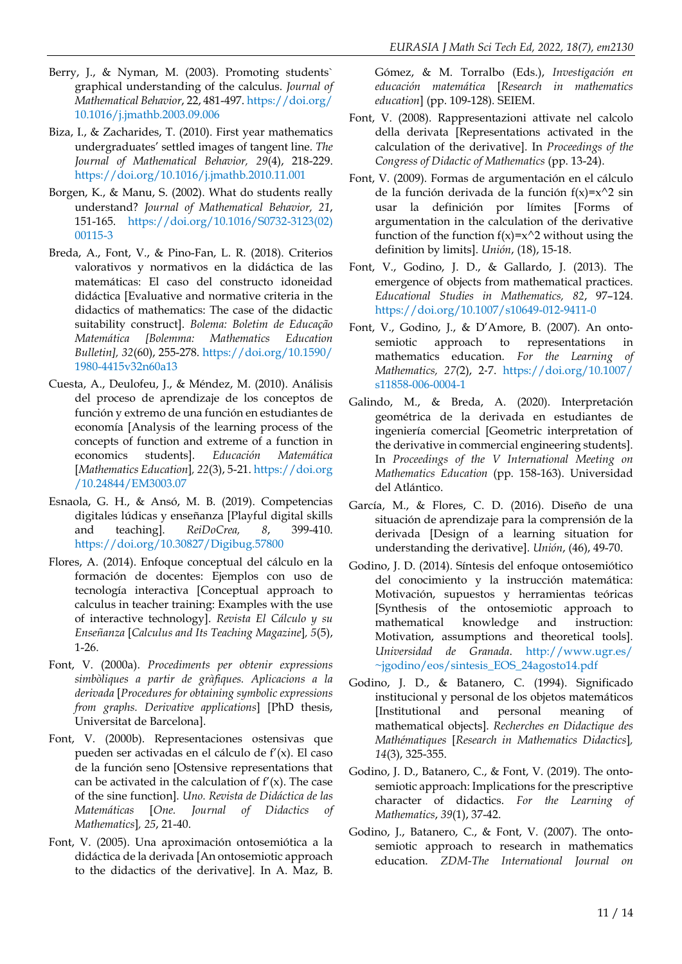- Berry, J., & Nyman, M. (2003). Promoting students` graphical understanding of the calculus. *Journal of Mathematical Behavior*, 22, 481-497. [https://doi.org/](https://doi.org/10.1016/j.jmathb.2003.09.006) [10.1016/j.jmathb.2003.09.006](https://doi.org/10.1016/j.jmathb.2003.09.006)
- Biza, I., & Zacharides, T. (2010). First year mathematics undergraduates' settled images of tangent line. *The Journal of Mathematical Behavior, 29*(4), 218-229. <https://doi.org/10.1016/j.jmathb.2010.11.001>
- Borgen, K., & Manu, S. (2002). What do students really understand? *Journal of Mathematical Behavior, 21*, 151-165. [https://doi.org/10.1016/S0732-3123\(02\)](https://doi.org/10.1016/S0732-3123(02)00115-3) [00115-3](https://doi.org/10.1016/S0732-3123(02)00115-3)
- Breda, A., Font, V., & Pino-Fan, L. R. (2018). Criterios valorativos y normativos en la didáctica de las matemáticas: El caso del constructo idoneidad didáctica [Evaluative and normative criteria in the didactics of mathematics: The case of the didactic suitability construct]. *Bolema: Boletim de Educação Matemática [Bolemma: Mathematics Education Bulletin], 32*(60), 255-278. [https://doi.org/10.1590/](https://doi.org/10.1590/1980-4415v32n60a13) [1980-4415v32n60a13](https://doi.org/10.1590/1980-4415v32n60a13)
- Cuesta, A., Deulofeu, J., & Méndez, M. (2010). Análisis del proceso de aprendizaje de los conceptos de función y extremo de una función en estudiantes de economía [Analysis of the learning process of the concepts of function and extreme of a function in economics students]. *Educación Matemática* [*Mathematics Education*]*, 22*(3), 5-21. [https://doi.org](https://doi.org/10.24844/EM3003.07) [/10.24844/EM3003.07](https://doi.org/10.24844/EM3003.07)
- Esnaola, G. H., & Ansó, M. B. (2019). Competencias digitales lúdicas y enseñanza [Playful digital skills and teaching]. *ReiDoCrea, 8*, 399-410. <https://doi.org/10.30827/Digibug.57800>
- Flores, A. (2014). Enfoque conceptual del cálculo en la formación de docentes: Ejemplos con uso de tecnología interactiva [Conceptual approach to calculus in teacher training: Examples with the use of interactive technology]. *Revista El Cálculo y su Enseñanza* [*Calculus and Its Teaching Magazine*]*, 5*(5), 1-26.
- Font, V. (2000a). *Procediments per obtenir expressions simbòliques a partir de gràfiques. Aplicacions a la derivada* [*Procedures for obtaining symbolic expressions from graphs. Derivative applications*] [PhD thesis, Universitat de Barcelona].
- Font, V. (2000b). Representaciones ostensivas que pueden ser activadas en el cálculo de f'(x). El caso de la función seno [Ostensive representations that can be activated in the calculation of  $f'(x)$ . The case of the sine function]. *Uno. Revista de Didáctica de las Matemáticas* [*One. Journal of Didactics of Mathematics*]*, 25*, 21-40.
- Font, V. (2005). Una aproximación ontosemiótica a la didáctica de la derivada [An ontosemiotic approach to the didactics of the derivative]. In A. Maz, B.

Gómez, & M. Torralbo (Eds.), *Investigación en educación matemática* [*Research in mathematics education*] (pp. 109-128). SEIEM.

- Font, V. (2008). Rappresentazioni attivate nel calcolo della derivata [Representations activated in the calculation of the derivative]. In *Proceedings of the Congress of Didactic of Mathematics* (pp. 13-24).
- Font, V. (2009). Formas de argumentación en el cálculo de la función derivada de la función  $f(x)=x^2$  sin usar la definición por límites [Forms of argumentation in the calculation of the derivative function of the function  $f(x)=x^2$  without using the definition by limits]. *Unión*, (18), 15-18.
- Font, V., Godino, J. D., & Gallardo, J. (2013). The emergence of objects from mathematical practices. *Educational Studies in Mathematics, 82*, 97–124. <https://doi.org/10.1007/s10649-012-9411-0>
- Font, V., Godino, J., & D'Amore, B. (2007). An onto‐ semiotic approach to representations in mathematics education. *For the Learning of Mathematics, 27(*2), 2‐7. [https://doi.org/10.1007/](https://doi.org/10.1007/s11858-006-0004-1) [s11858-006-0004-1](https://doi.org/10.1007/s11858-006-0004-1)
- Galindo, M., & Breda, A. (2020). Interpretación geométrica de la derivada en estudiantes de ingeniería comercial [Geometric interpretation of the derivative in commercial engineering students]. In *Proceedings of the V International Meeting on Mathematics Education* (pp. 158-163). Universidad del Atlántico.
- García, M., & Flores, C. D. (2016). Diseño de una situación de aprendizaje para la comprensión de la derivada [Design of a learning situation for understanding the derivative]. *Unión*, (46), 49-70.
- Godino, J. D. (2014). Síntesis del enfoque ontosemiótico del conocimiento y la instrucción matemática: Motivación, supuestos y herramientas teóricas [Synthesis of the ontosemiotic approach to mathematical knowledge and instruction: Motivation, assumptions and theoretical tools]. *Universidad de Granada*. [http://www.ugr.es/](http://www.ugr.es/~jgodino/eos/sintesis_EOS_24agosto14.pdf) [~jgodino/eos/sintesis\\_EOS\\_24agosto14.pdf](http://www.ugr.es/~jgodino/eos/sintesis_EOS_24agosto14.pdf)
- Godino, J. D., & Batanero, C. (1994). Significado institucional y personal de los objetos matemáticos [Institutional and personal meaning of mathematical objects]. *Recherches en Didactique des Mathématiques* [*Research in Mathematics Didactics*]*, 14*(3), 325-355.
- Godino, J. D., Batanero, C., & Font, V. (2019). The ontosemiotic approach: Implications for the prescriptive character of didactics. *For the Learning of Mathematics*, *39*(1), 37-42.
- Godino, J., Batanero, C., & Font, V. (2007). The ontosemiotic approach to research in mathematics education. *ZDM-The International Journal on*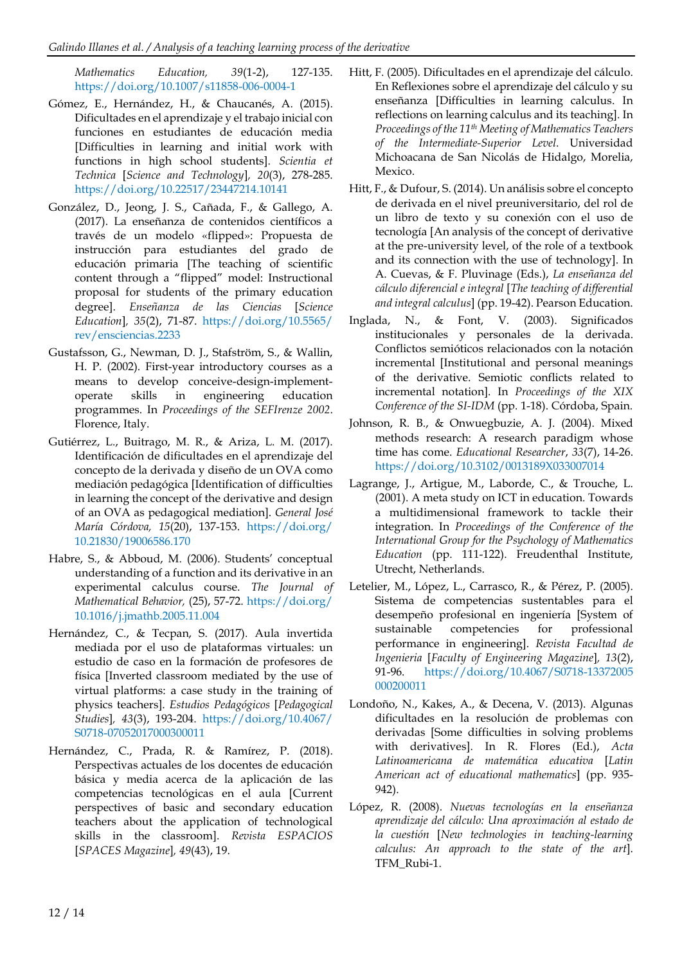*Mathematics Education, 39*(1-2), 127-135. <https://doi.org/10.1007/s11858-006-0004-1>

- Gómez, E., Hernández, H., & Chaucanés, A. (2015). Dificultades en el aprendizaje y el trabajo inicial con funciones en estudiantes de educación media [Difficulties in learning and initial work with functions in high school students]. *Scientia et Technica* [*Science and Technology*]*, 20*(3), 278-285. <https://doi.org/10.22517/23447214.10141>
- González, D., Jeong, J. S., Cañada, F., & Gallego, A. (2017). La enseñanza de contenidos científicos a través de un modelo «flipped»: Propuesta de instrucción para estudiantes del grado de educación primaria [The teaching of scientific content through a "flipped" model: Instructional proposal for students of the primary education degree]. *Enseñanza de las Ciencias* [*Science Education*]*, 35*(2), 71-87. [https://doi.org/10.5565/](https://doi.org/10.5565/rev/ensciencias.2233) [rev/ensciencias.2233](https://doi.org/10.5565/rev/ensciencias.2233)
- Gustafsson, G., Newman, D. J., Stafström, S., & Wallin, H. P. (2002). First-year introductory courses as a means to develop conceive-design-implementoperate skills in engineering education programmes. In *Proceedings of the SEFIrenze 2002*. Florence, Italy.
- Gutiérrez, L., Buitrago, M. R., & Ariza, L. M. (2017). Identificación de dificultades en el aprendizaje del concepto de la derivada y diseño de un OVA como mediación pedagógica [Identification of difficulties in learning the concept of the derivative and design of an OVA as pedagogical mediation]. *General José María Córdova, 15*(20), 137-153. [https://doi.org/](https://doi.org/10.21830/19006586.170) [10.21830/19006586.170](https://doi.org/10.21830/19006586.170)
- Habre, S., & Abboud, M. (2006). Students' conceptual understanding of a function and its derivative in an experimental calculus course. *The Journal of Mathematical Behavior,* (25), 57-72. [https://doi.org/](https://doi.org/10.1016/j.jmathb.2005.11.004) [10.1016/j.jmathb.2005.11.004](https://doi.org/10.1016/j.jmathb.2005.11.004)
- Hernández, C., & Tecpan, S. (2017). Aula invertida mediada por el uso de plataformas virtuales: un estudio de caso en la formación de profesores de física [Inverted classroom mediated by the use of virtual platforms: a case study in the training of physics teachers]. *Estudios Pedagógicos* [*Pedagogical Studies*]*, 43*(3), 193-204. [https://doi.org/10.4067/](https://doi.org/10.4067/S0718-07052017000300011) [S0718-07052017000300011](https://doi.org/10.4067/S0718-07052017000300011)
- Hernández, C., Prada, R. & Ramírez, P. (2018). Perspectivas actuales de los docentes de educación básica y media acerca de la aplicación de las competencias tecnológicas en el aula [Current perspectives of basic and secondary education teachers about the application of technological skills in the classroom]. *Revista ESPACIOS* [*SPACES Magazine*]*, 49*(43), 19.
- Hitt, F. (2005). Dificultades en el aprendizaje del cálculo. En Reflexiones sobre el aprendizaje del cálculo y su enseñanza [Difficulties in learning calculus. In reflections on learning calculus and its teaching]. In *Proceedings of the 11th Meeting of Mathematics Teachers of the Intermediate-Superior Level*. Universidad Michoacana de San Nicolás de Hidalgo, Morelia, Mexico.
- Hitt, F., & Dufour, S. (2014). Un análisis sobre el concepto de derivada en el nivel preuniversitario, del rol de un libro de texto y su conexión con el uso de tecnología [An analysis of the concept of derivative at the pre-university level, of the role of a textbook and its connection with the use of technology]. In A. Cuevas, & F. Pluvinage (Eds.), *La enseñanza del cálculo diferencial e integral* [*The teaching of differential and integral calculus*] (pp. 19-42). Pearson Education.
- Inglada, N., & Font, V. (2003). Significados institucionales y personales de la derivada. Conflictos semióticos relacionados con la notación incremental [Institutional and personal meanings of the derivative. Semiotic conflicts related to incremental notation]. In *Proceedings of the XIX Conference of the SI-IDM* (pp. 1-18). Córdoba, Spain.
- Johnson, R. B., & Onwuegbuzie, A. J. (2004). Mixed methods research: A research paradigm whose time has come. *Educational Researcher*, *33*(7), 14-26. <https://doi.org/10.3102/0013189X033007014>
- Lagrange, J., Artigue, M., Laborde, C., & Trouche, L. (2001). A meta study on ICT in education. Towards a multidimensional framework to tackle their integration. In *Proceedings of the Conference of the International Group for the Psychology of Mathematics Education* (pp. 111-122). Freudenthal Institute, Utrecht, Netherlands.
- Letelier, M., López, L., Carrasco, R., & Pérez, P. (2005). Sistema de competencias sustentables para el desempeño profesional en ingeniería [System of sustainable competencies for professional performance in engineering]. *Revista Facultad de Ingenieria* [*Faculty of Engineering Magazine*]*, 13*(2), 91-96. [https://doi.org/10.4067/S0718-13372005](https://doi.org/10.4067/S0718-13372005000200011) [000200011](https://doi.org/10.4067/S0718-13372005000200011)
- Londoño, N., Kakes, A., & Decena, V. (2013). Algunas dificultades en la resolución de problemas con derivadas [Some difficulties in solving problems with derivatives]. In R. Flores (Ed.), *Acta Latinoamericana de matemática educativa* [*Latin American act of educational mathematics*] (pp. 935- 942).
- López, R. (2008). *Nuevas tecnologías en la enseñanza aprendizaje del cálculo: Una aproximación al estado de la cuestión* [*New technologies in teaching-learning calculus: An approach to the state of the art*]. TFM\_Rubi-1.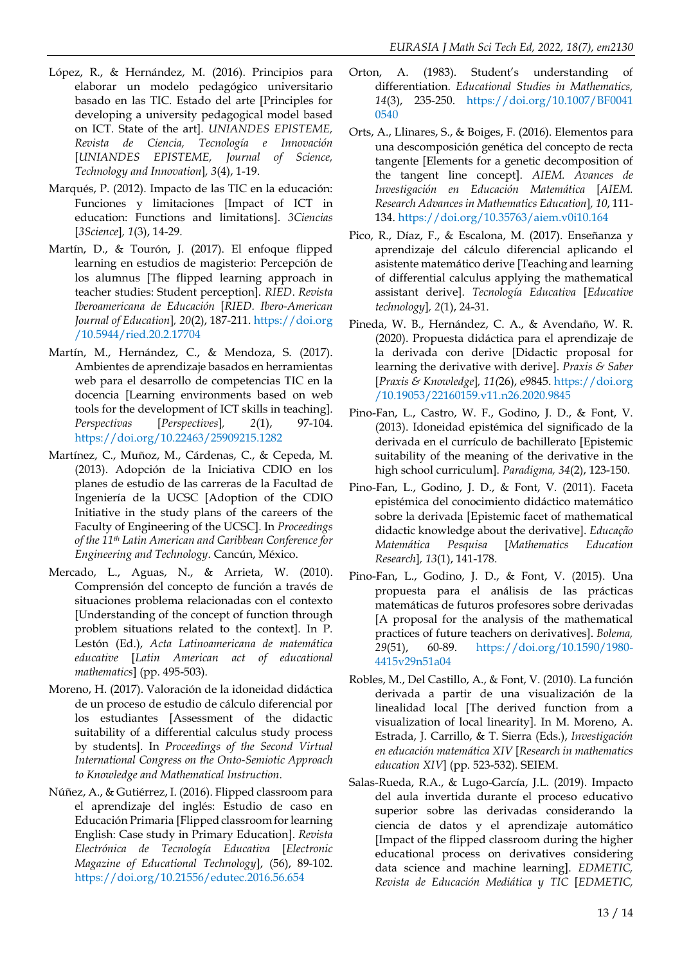- López, R., & Hernández, M. (2016). Principios para elaborar un modelo pedagógico universitario basado en las TIC. Estado del arte [Principles for developing a university pedagogical model based on ICT. State of the art]. *UNIANDES EPISTEME, Revista de Ciencia, Tecnología e Innovación* [*UNIANDES EPISTEME, Journal of Science, Technology and Innovation*]*, 3*(4), 1-19.
- Marqués, P. (2012). Impacto de las TIC en la educación: Funciones y limitaciones [Impact of ICT in education: Functions and limitations]. *3Ciencias* [*3Science*]*, 1*(3), 14-29.
- Martín, D., & Tourón, J. (2017). El enfoque flipped learning en estudios de magisterio: Percepción de los alumnus [The flipped learning approach in teacher studies: Student perception]. *RIED*. *Revista Iberoamericana de Educación* [*RIED. Ibero-American Journal of Education*]*, 20*(2), 187-211. [https://doi.org](https://doi.org/10.5944/ried.20.2.17704) [/10.5944/ried.20.2.17704](https://doi.org/10.5944/ried.20.2.17704)
- Martín, M., Hernández, C., & Mendoza, S. (2017). Ambientes de aprendizaje basados en herramientas web para el desarrollo de competencias TIC en la docencia [Learning environments based on web tools for the development of ICT skills in teaching]. *Perspectivas* [*Perspectives*]*, 2*(1), 97-104. <https://doi.org/10.22463/25909215.1282>
- Martínez, C., Muñoz, M., Cárdenas, C., & Cepeda, M. (2013). Adopción de la Iniciativa CDIO en los planes de estudio de las carreras de la Facultad de Ingeniería de la UCSC [Adoption of the CDIO Initiative in the study plans of the careers of the Faculty of Engineering of the UCSC]. In *Proceedings of the 11th Latin American and Caribbean Conference for Engineering and Technology*. Cancún, México.
- Mercado, L., Aguas, N., & Arrieta, W. (2010). Comprensión del concepto de función a través de situaciones problema relacionadas con el contexto [Understanding of the concept of function through problem situations related to the context]. In P. Lestón (Ed.), *Acta Latinoamericana de matemática educative* [*Latin American act of educational mathematics*] (pp. 495-503).
- Moreno, H. (2017). Valoración de la idoneidad didáctica de un proceso de estudio de cálculo diferencial por los estudiantes [Assessment of the didactic suitability of a differential calculus study process by students]. In *Proceedings of the Second Virtual International Congress on the Onto-Semiotic Approach to Knowledge and Mathematical Instruction*.
- Núñez, A., & Gutiérrez, I. (2016). Flipped classroom para el aprendizaje del inglés: Estudio de caso en Educación Primaria [Flipped classroom for learning English: Case study in Primary Education]. *Revista Electrónica de Tecnología Educativa* [*Electronic Magazine of Educational Technology*], (56), 89-102. <https://doi.org/10.21556/edutec.2016.56.654>
- Orton, A. (1983). Student's understanding of differentiation. *Educational Studies in Mathematics, 14*(3), 235-250. [https://doi.org/10.1007/BF0041](https://doi.org/10.1007/BF00410540) [0540](https://doi.org/10.1007/BF00410540)
- Orts, A., Llinares, S., & Boiges, F. (2016). Elementos para una descomposición genética del concepto de recta tangente [Elements for a genetic decomposition of the tangent line concept]. *AIEM. Avances de Investigación en Educación Matemática* [*AIEM. Research Advances in Mathematics Education*]*, 10*, 111- 134. <https://doi.org/10.35763/aiem.v0i10.164>
- Pico, R., Díaz, F., & Escalona, M. (2017). Enseñanza y aprendizaje del cálculo diferencial aplicando el asistente matemático derive [Teaching and learning of differential calculus applying the mathematical assistant derive]. *Tecnología Educativa* [*Educative technology*]*, 2*(1), 24-31.
- Pineda, W. B., Hernández, C. A., & Avendaño, W. R. (2020). Propuesta didáctica para el aprendizaje de la derivada con derive [Didactic proposal for learning the derivative with derive]. *Praxis & Saber* [*Praxis & Knowledge*]*, 11(*26), e9845. [https://doi.org](https://doi.org/10.19053/22160159.v11.n26.2020.9845) [/10.19053/22160159.v11.n26.2020.9845](https://doi.org/10.19053/22160159.v11.n26.2020.9845)
- Pino-Fan, L., Castro, W. F., Godino, J. D., & Font, V. (2013). Idoneidad epistémica del significado de la derivada en el currículo de bachillerato [Epistemic suitability of the meaning of the derivative in the high school curriculum]. *Paradigma, 34*(2), 123-150.
- Pino-Fan, L., Godino, J. D., & Font, V. (2011). Faceta epistémica del conocimiento didáctico matemático sobre la derivada [Epistemic facet of mathematical didactic knowledge about the derivative]. *Educação Matemática Pesquisa* [*Mathematics Education Research*]*, 13*(1), 141-178.
- Pino-Fan, L., Godino, J. D., & Font, V. (2015). Una propuesta para el análisis de las prácticas matemáticas de futuros profesores sobre derivadas [A proposal for the analysis of the mathematical practices of future teachers on derivatives]. *Bolema, 29*(51), 60-89. [https://doi.org/10.1590/1980-](https://doi.org/10.1590/1980-4415v29n51a04) [4415v29n51a04](https://doi.org/10.1590/1980-4415v29n51a04)
- Robles, M., Del Castillo, A., & Font, V. (2010). La función derivada a partir de una visualización de la linealidad local [The derived function from a visualization of local linearity]. In M. Moreno, A. Estrada, J. Carrillo, & T. Sierra (Eds.), *Investigación en educación matemática XIV* [*Research in mathematics education XIV*] (pp. 523-532). SEIEM.
- Salas-Rueda, R.A., & Lugo-García, J.L. (2019). Impacto del aula invertida durante el proceso educativo superior sobre las derivadas considerando la ciencia de datos y el aprendizaje automático [Impact of the flipped classroom during the higher educational process on derivatives considering data science and machine learning]. *EDMETIC, Revista de Educación Mediática y TIC* [*EDMETIC,*